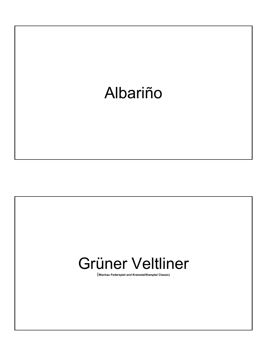

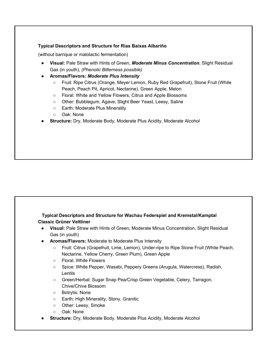### Typical Descriptors and Structure for Rías Baixas Albariño

(without barrique or malolactic fermentation)

- Visual: Pale Straw with Hints of Green, Moderate Minus Concentration, Slight Residual Gas (in youth), (Phenolic Bitterness possible)
- Aromas/Flavors: Moderate Plus Intensity
	- Fruit: Ripe Citrus (Orange, Meyer Lemon, Ruby Red Grapefruit), Stone Fruit (White Peach, Peach Pit, Apricot, Nectarine), Green Apple, Melon
	- Floral: White and Yellow Flowers, Citrus and Apple Blossoms
	- Other: Bubblegum, Agave, Slight Beer Yeast, Leesy, Saline
	- Earth: Moderate Plus Minerality
	- o Oak: None
- **Structure:** Dry, Moderate Body, Moderate Plus Acidity, Moderate Alcohol

# Typical Descriptors and Structure for Wachau Federspiel and Kremstal/Kamptal Classic Grüner Veltliner

- Visual: Pale Straw with Hints of Green, Moderate Minus Concentration, Slight Residual Gas (in youth)
- Aromas/Flavors: Moderate to Moderate Plus Intensity
	- Fruit: Citrus (Grapefruit, Lime, Lemon), Under-ripe to Ripe Stone Fruit (White Peach, Nectarine, Yellow Cherry, Green Plum), Green Apple
	- Floral: White Flowers
	- Spice: White Pepper, Wasabi, Peppery Greens (Arugula, Watercress), Radish, Lentils
	- Green/Herbal: Sugar Snap Pea/Crisp Green Vegetable, Celery, Tarragon, Chive/Chive Blossom
	- Botrytis: None
	- Earth: High Minerality, Stony, Granitic
	- o Other: Leesy, Smoke
	- Oak: None
- **Structure:** Dry, Moderate Body, Moderate Plus Acidity, Moderate Alcohol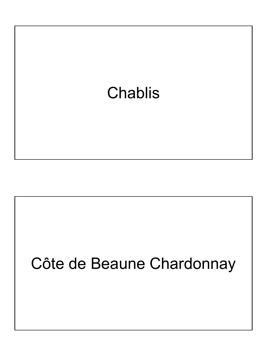

# Côte de Beaune Chardonnay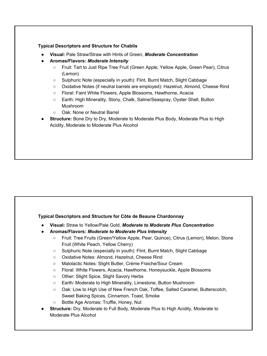### Typical Descriptors and Structure for Chablis

- Visual: Pale Straw/Straw with Hints of Green, Moderate Concentration
- Aromas/Flavors: Moderate Intensity
	- Fruit: Tart to Just Ripe Tree Fruit (Green Apple, Yellow Apple, Green Pear), Citrus (Lemon)
	- Sulphuric Note (especially in youth): Flint, Burnt Match, Slight Cabbage
	- Oxidative Notes (if neutral barrels are employed): Hazelnut, Almond, Cheese Rind
	- Floral: Faint White Flowers, Apple Blossoms, Hawthorne, Acacia
	- Earth: High Minerality, Stony, Chalk, Saline/Seaspray, Oyster Shell, Button Mushroom
	- Oak: None or Neutral Barrel
- **Structure:** Bone Dry to Dry, Moderate to Moderate Plus Body, Moderate Plus to High Acidity, Moderate to Moderate Plus Alcohol

# Typical Descriptors and Structure for Côte de Beaune Chardonnay

- Visual: Straw to Yellow/Pale Gold, Moderate to Moderate Plus Concentration
- Aromas/Flavors: Moderate to Moderate Plus Intensity
	- Fruit: Tree Fruits (Green/Yellow Apple, Pear, Quince), Citrus (Lemon), Melon, Stone Fruit (White Peach, Yellow Cherry)
	- Sulphuric Note (especially in youth): Flint, Burnt Match, Slight Cabbage
	- Oxidative Notes: Almond, Hazelnut, Cheese Rind
	- Malolactic Notes: Slight Butter, Crème Fraiche/Sour Cream
	- Floral: White Flowers, Acacia, Hawthorne, Honeysuckle, Apple Blossoms
	- Other: Slight Spice, Slight Savory Herbs
	- Earth: Moderate to High Minerality, Limestone, Button Mushroom
	- Oak: Low to High Use of New French Oak, Toffee, Salted Caramel, Butterscotch, Sweet Baking Spices, Cinnamon, Toast, Smoke
	- Bottle Age Aromas: Truffle, Honey, Nut
- **Structure:** Dry, Moderate to Full Body, Moderate Plus to High Acidity, Moderate to Moderate Plus Alcohol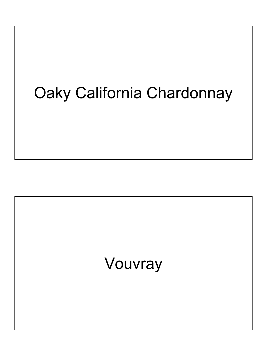# Oaky California Chardonnay

# Vouvray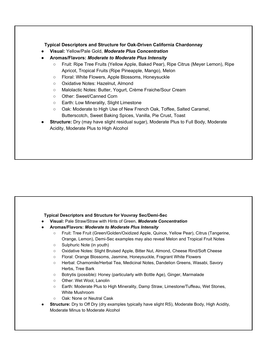# Typical Descriptors and Structure for Oak-Driven California Chardonnay

- Visual: Yellow/Pale Gold, Moderate Plus Concentration
- Aromas/Flavors: Moderate to Moderate Plus Intensity
	- Fruit: Ripe Tree Fruits (Yellow Apple, Baked Pear), Ripe Citrus (Meyer Lemon), Ripe Apricot, Tropical Fruits (Ripe Pineapple, Mango), Melon
	- Floral: White Flowers, Apple Blossoms, Honeysuckle
	- Oxidative Notes: Hazelnut, Almond
	- Malolactic Notes: Butter, Yogurt, Crème Fraiche/Sour Cream
	- Other: Sweet/Canned Corn
	- Earth: Low Minerality, Slight Limestone
	- Oak: Moderate to High Use of New French Oak, Toffee, Salted Caramel, Butterscotch, Sweet Baking Spices, Vanilla, Pie Crust, Toast
- **Structure:** Dry (may have slight residual sugar), Moderate Plus to Full Body, Moderate Acidity, Moderate Plus to High Alcohol

### Typical Descriptors and Structure for Vouvray Sec/Demi-Sec

- Visual: Pale Straw/Straw with Hints of Green, Moderate Concentration
- Aromas/Flavors: Moderate to Moderate Plus Intensity
	- Fruit: Tree Fruit (Green/Golden/Oxidized Apple, Quince, Yellow Pear), Citrus (Tangerine, Orange, Lemon), Demi-Sec examples may also reveal Melon and Tropical Fruit Notes
	- Sulphuric Note (in youth)
	- Oxidative Notes: Slight Bruised Apple, Bitter Nut, Almond, Cheese Rind/Soft Cheese
	- Floral: Orange Blossoms, Jasmine, Honeysuckle, Fragrant White Flowers
	- Herbal: Chamomile/Herbal Tea, Medicinal Notes, Dandelion Greens, Wasabi, Savory Herbs, Tree Bark
	- Botrytis (possible): Honey (particularly with Bottle Age), Ginger, Marmalade
	- Other: Wet Wool, Lanolin
	- Earth: Moderate Plus to High Minerality, Damp Straw, Limestone/Tuffeau, Wet Stones, White Mushroom
	- Oak: None or Neutral Cask
- Structure: Dry to Off Dry (dry examples typically have slight RS), Moderate Body, High Acidity, Moderate Minus to Moderate Alcohol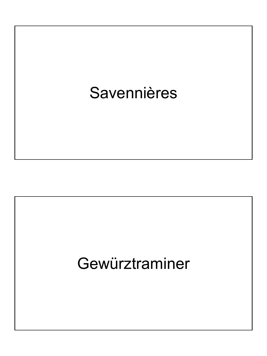# **Savennières**

# Gewürztraminer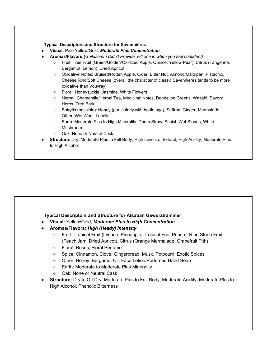### Typical Descriptors and Structure for Savennières

- Visual: Pale Yellow/Gold, Moderate Plus Concentration
- Aromas/Flavors:(Guildsomm Didn't Provide, Fill one in when you feel confident)
	- Fruit: Tree Fruit (Green/Golden/Oxidized Apple, Quince, Yellow Pear), Citrus (Tangerine, Bergamot, Lemon), Dried Apricot
	- Oxidative Notes: Bruised/Rotten Apple, Cider, Bitter Nut, Almond/Marzipan, Pistachio, Cheese Rind/Soft Cheese (overall the character of classic Savennières tends to be more oxidative than Vouvray)
	- Floral: Honeysuckle, Jasmine, White Flowers
	- Herbal: Chamomile/Herbal Tea, Medicinal Notes, Dandelion Greens, Wasabi, Savory Herbs, Tree Bark
	- Botrytis (possible): Honey (particularly with bottle age), Saffron, Ginger, Marmalade
	- Other: Wet Wool, Lanolin
	- Earth: Moderate Plus to High Minerality, Damp Straw, Schist, Wet Stones, White Mushroom
	- Oak: None or Neutral Cask
- Structure: Dry, Moderate Plus to Full Body, High Levels of Extract, High Acidity, Moderate Plus to High Alcohol

# Typical Descriptors and Structure for Alsatian Gewurztraminer

- Visual: Yellow/Gold, Moderate Plus to High Concentration
- Aromas/Flavors: High (Heady) Intensity
	- Fruit: Tropical Fruit (Lychee, Pineapple, Tropical Fruit Punch), Ripe Stone Fruit (Peach Jam, Dried Apricot), Citrus (Orange Marmalade, Grapefruit Pith)
	- Floral: Roses, Floral Perfume
	- Spice: Cinnamon, Clove, Gingerbread, Musk, Potpourri, Exotic Spices
	- o Other: Honey, Bergamot Oil, Face Lotion/Perfumed Hand Soap
	- Earth: Moderate to Moderate Plus Minerality
	- Oak: None or Neutral Cask
- **Structure:** Dry to Off Dry, Moderate Plus to Full-Body, Moderate Acidity, Moderate Plus to High Alcohol, Phenolic Bitterness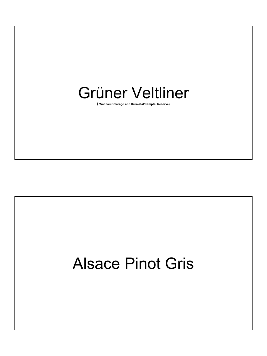

( Wachau Smaragd and Kremstal/Kamptal Reserve)

# Alsace Pinot Gris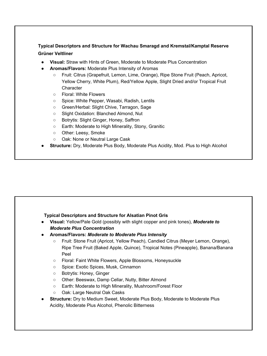# Typical Descriptors and Structure for Wachau Smaragd and Kremstal/Kamptal Reserve Grüner Veltliner

- **Visual:** Straw with Hints of Green, Moderate to Moderate Plus Concentration
- Aromas/Flavors: Moderate Plus Intensity of Aromas
	- Fruit: Citrus (Grapefruit, Lemon, Lime, Orange), Ripe Stone Fruit (Peach, Apricot, Yellow Cherry, White Plum), Red/Yellow Apple, Slight Dried and/or Tropical Fruit Character
	- Floral: White Flowers
	- Spice: White Pepper, Wasabi, Radish, Lentils
	- Green/Herbal: Slight Chive, Tarragon, Sage
	- Slight Oxidation: Blanched Almond, Nut
	- Botrytis: Slight Ginger, Honey, Saffron
	- Earth: Moderate to High Minerality, Stony, Granitic
	- Other: Leesy, Smoke
	- Oak: None or Neutral Large Cask
- **Structure:** Dry, Moderate Plus Body, Moderate Plus Acidity, Mod. Plus to High Alcohol

### Typical Descriptors and Structure for Alsatian Pinot Gris

- Visual: Yellow/Pale Gold (possibly with slight copper and pink tones), Moderate to Moderate Plus Concentration
- Aromas/Flavors: Moderate to Moderate Plus Intensity
	- Fruit: Stone Fruit (Apricot, Yellow Peach), Candied Citrus (Meyer Lemon, Orange), Ripe Tree Fruit (Baked Apple, Quince), Tropical Notes (Pineapple), Banana/Banana Peel
	- Floral: Faint White Flowers, Apple Blossoms, Honeysuckle
	- Spice: Exotic Spices, Musk, Cinnamon
	- Botrytis: Honey, Ginger
	- Other: Beeswax, Damp Cellar, Nutty, Bitter Almond
	- Earth: Moderate to High Minerality, Mushroom/Forest Floor
	- Oak: Large Neutral Oak Casks
- **Structure:** Dry to Medium Sweet, Moderate Plus Body, Moderate to Moderate Plus Acidity, Moderate Plus Alcohol, Phenolic Bitterness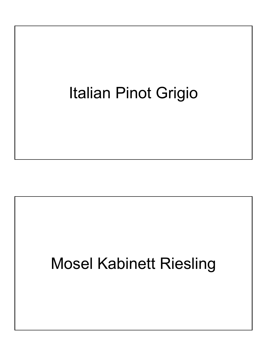# Italian Pinot Grigio

# Mosel Kabinett Riesling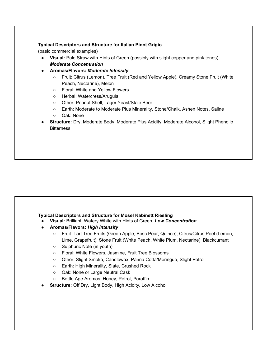### Typical Descriptors and Structure for Italian Pinot Grigio

(basic commercial examples)

- Visual: Pale Straw with Hints of Green (possibly with slight copper and pink tones), Moderate Concentration
- Aromas/Flavors: Moderate Intensity
	- Fruit: Citrus (Lemon), Tree Fruit (Red and Yellow Apple), Creamy Stone Fruit (White Peach, Nectarine), Melon
	- Floral: White and Yellow Flowers
	- Herbal: Watercress/Arugula
	- Other: Peanut Shell, Lager Yeast/Stale Beer
	- Earth: Moderate to Moderate Plus Minerality, Stone/Chalk, Ashen Notes, Saline
	- Oak: None
- **Structure:** Dry, Moderate Body, Moderate Plus Acidity, Moderate Alcohol, Slight Phenolic **Bitterness**

# Typical Descriptors and Structure for Mosel Kabinett Riesling

- Visual: Brilliant, Watery White with Hints of Green, Low Concentration
- Aromas/Flavors: High Intensity
	- Fruit: Tart Tree Fruits (Green Apple, Bosc Pear, Quince), Citrus/Citrus Peel (Lemon, Lime, Grapefruit), Stone Fruit (White Peach, White Plum, Nectarine), Blackcurrant
	- Sulphuric Note (in youth)
	- Floral: White Flowers, Jasmine, Fruit Tree Blossoms
	- Other: Slight Smoke, Candlewax, Panna Cotta/Meringue, Slight Petrol
	- Earth: High Minerality, Slate, Crushed Rock
	- Oak: None or Large Neutral Cask
	- Bottle Age Aromas: Honey, Petrol, Paraffin
- Structure: Off Dry, Light Body, High Acidity, Low Alcohol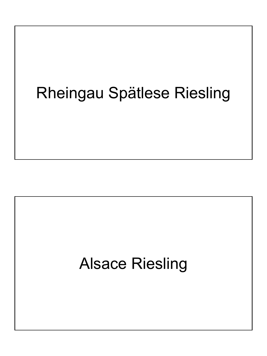# Rheingau Spätlese Riesling

# Alsace Riesling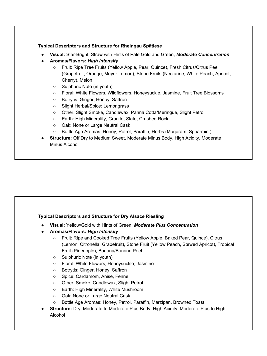### Typical Descriptors and Structure for Rheingau Spätlese

- Visual: Star-Bright, Straw with Hints of Pale Gold and Green, Moderate Concentration
- Aromas/Flavors: High Intensity
	- Fruit: Ripe Tree Fruits (Yellow Apple, Pear, Quince), Fresh Citrus/Citrus Peel (Grapefruit, Orange, Meyer Lemon), Stone Fruits (Nectarine, White Peach, Apricot, Cherry), Melon
	- Sulphuric Note (in youth)
	- Floral: White Flowers, Wildflowers, Honeysuckle, Jasmine, Fruit Tree Blossoms
	- Botrytis: Ginger, Honey, Saffron
	- Slight Herbal/Spice: Lemongrass
	- Other: Slight Smoke, Candlewax, Panna Cotta/Meringue, Slight Petrol
	- Earth: High Minerality, Granite, Slate, Crushed Rock
	- Oak: None or Large Neutral Cask
	- Bottle Age Aromas: Honey, Petrol, Paraffin, Herbs (Marjoram, Spearmint)
- **Structure:** Off Dry to Medium Sweet, Moderate Minus Body, High Acidity, Moderate Minus Alcohol

### Typical Descriptors and Structure for Dry Alsace Riesling

- Visual: Yellow/Gold with Hints of Green, Moderate Plus Concentration
- Aromas/Flavors: High Intensity
	- Fruit: Ripe and Cooked Tree Fruits (Yellow Apple, Baked Pear, Quince), Citrus (Lemon, Citronella, Grapefruit), Stone Fruit (Yellow Peach, Stewed Apricot), Tropical Fruit (Pineapple), Banana/Banana Peel
	- Sulphuric Note (in youth)
	- Floral: White Flowers, Honeysuckle, Jasmine
	- Botrytis: Ginger, Honey, Saffron
	- Spice: Cardamom, Anise, Fennel
	- Other: Smoke, Candlewax, Slight Petrol
	- Earth: High Minerality, White Mushroom
	- Oak: None or Large Neutral Cask
	- Bottle Age Aromas: Honey, Petrol, Paraffin, Marzipan, Browned Toast
- **Structure:** Dry, Moderate to Moderate Plus Body, High Acidity, Moderate Plus to High Alcohol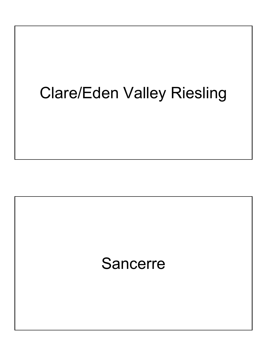# Clare/Eden Valley Riesling

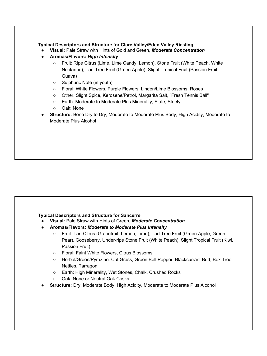### Typical Descriptors and Structure for Clare Valley/Eden Valley Riesling

- Visual: Pale Straw with Hints of Gold and Green, Moderate Concentration
- Aromas/Flavors: High Intensity
	- Fruit: Ripe Citrus (Lime, Lime Candy, Lemon), Stone Fruit (White Peach, White Nectarine), Tart Tree Fruit (Green Apple), Slight Tropical Fruit (Passion Fruit, Guava)
	- Sulphuric Note (in youth)
	- Floral: White Flowers, Purple Flowers, Linden/Lime Blossoms, Roses
	- Other: Slight Spice, Kerosene/Petrol, Margarita Salt, "Fresh Tennis Ball"
	- Earth: Moderate to Moderate Plus Minerality, Slate, Steely
	- Oak: None
- **Structure:** Bone Dry to Dry, Moderate to Moderate Plus Body, High Acidity, Moderate to Moderate Plus Alcohol

### Typical Descriptors and Structure for Sancerre

- Visual: Pale Straw with Hints of Green, Moderate Concentration
- Aromas/Flavors: Moderate to Moderate Plus Intensity
	- Fruit: Tart Citrus (Grapefruit, Lemon, Lime), Tart Tree Fruit (Green Apple, Green Pear), Gooseberry, Under-ripe Stone Fruit (White Peach), Slight Tropical Fruit (Kiwi, Passion Fruit)
	- Floral: Faint White Flowers, Citrus Blossoms
	- Herbal/Green/Pyrazine: Cut Grass, Green Bell Pepper, Blackcurrant Bud, Box Tree, Nettles, Tarragon
	- Earth: High Minerality, Wet Stones, Chalk, Crushed Rocks
	- Oak: None or Neutral Oak Casks
- Structure: Dry, Moderate Body, High Acidity, Moderate to Moderate Plus Alcohol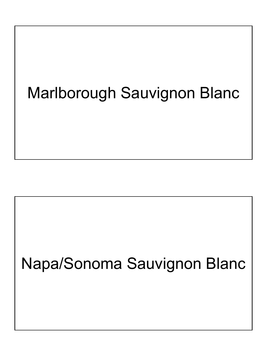# Marlborough Sauvignon Blanc

# Napa/Sonoma Sauvignon Blanc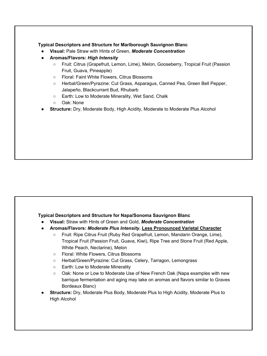### Typical Descriptors and Structure for Marlborough Sauvignon Blanc

- Visual: Pale Straw with Hints of Green, Moderate Concentration
- Aromas/Flavors: High Intensity
	- Fruit: Citrus (Grapefruit, Lemon, Lime), Melon, Gooseberry, Tropical Fruit (Passion Fruit, Guava, Pineapple)
	- Floral: Faint White Flowers, Citrus Blossoms
	- Herbal/Green/Pyrazine: Cut Grass, Asparagus, Canned Pea, Green Bell Pepper, Jalapeño, Blackcurrant Bud, Rhubarb
	- Earth: Low to Moderate Minerality, Wet Sand, Chalk
	- Oak: None
- **Structure:** Dry, Moderate Body, High Acidity, Moderate to Moderate Plus Alcohol

### Typical Descriptors and Structure for Napa/Sonoma Sauvignon Blanc

- Visual: Straw with Hints of Green and Gold, Moderate Concentration
- Aromas/Flavors: Moderate Plus Intensity, Less Pronounced Varietal Character
	- Fruit: Ripe Citrus Fruit (Ruby Red Grapefruit, Lemon, Mandarin Orange, Lime), Tropical Fruit (Passion Fruit, Guava, Kiwi), Ripe Tree and Stone Fruit (Red Apple, White Peach, Nectarine), Melon
	- Floral: White Flowers, Citrus Blossoms
	- Herbal/Green/Pyrazine: Cut Grass, Celery, Tarragon, Lemongrass
	- Earth: Low to Moderate Minerality
	- Oak: None or Low to Moderate Use of New French Oak (Napa examples with new barrique fermentation and aging may take on aromas and flavors similar to Graves Bordeaux Blanc)
- Structure: Dry, Moderate Plus Body, Moderate Plus to High Acidity, Moderate Plus to High Alcohol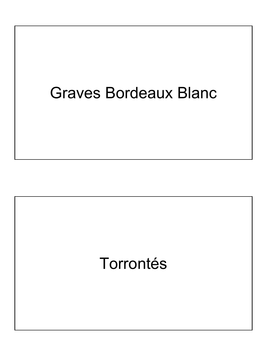# Graves Bordeaux Blanc

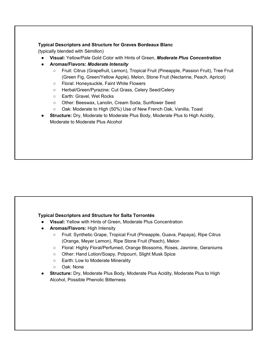### Typical Descriptors and Structure for Graves Bordeaux Blanc

(typically blended with Sémillon)

- Visual: Yellow/Pale Gold Color with Hints of Green, Moderate Plus Concentration
- Aromas/Flavors: Moderate Intensity
	- Fruit: Citrus (Grapefruit, Lemon), Tropical Fruit (Pineapple, Passion Fruit), Tree Fruit (Green Fig, Green/Yellow Apple), Melon, Stone Fruit (Nectarine, Peach, Apricot)
	- Floral: Honeysuckle, Faint White Flowers
	- Herbal/Green/Pyrazine: Cut Grass, Celery Seed/Celery
	- Earth: Gravel, Wet Rocks
	- Other: Beeswax, Lanolin, Cream Soda, Sunflower Seed
	- Oak: Moderate to High (50%) Use of New French Oak, Vanilla, Toast
- **Structure:** Dry, Moderate to Moderate Plus Body, Moderate Plus to High Acidity, Moderate to Moderate Plus Alcohol

# Typical Descriptors and Structure for Salta Torrontés

- Visual: Yellow with Hints of Green, Moderate Plus Concentration
- **Aromas/Flavors:** High Intensity
	- Fruit: Synthetic Grape, Tropical Fruit (Pineapple, Guava, Papaya), Ripe Citrus (Orange, Meyer Lemon), Ripe Stone Fruit (Peach), Melon
	- Floral: Highly Floral/Perfumed, Orange Blossoms, Roses, Jasmine, Geraniums
	- Other: Hand Lotion/Soapy, Potpourri, Slight Musk Spice
	- Earth: Low to Moderate Minerality
	- Oak: None
- **Structure:** Dry, Moderate Plus Body, Moderate Plus Acidity, Moderate Plus to High Alcohol, Possible Phenolic Bitterness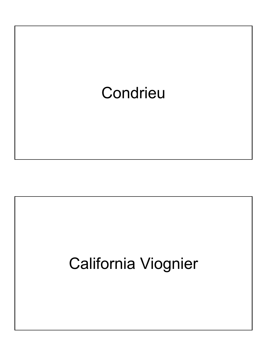

# California Viognier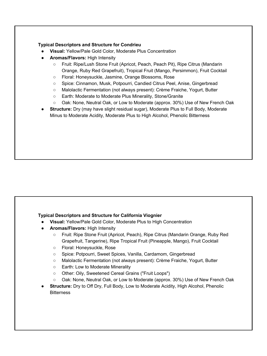### Typical Descriptors and Structure for Condrieu

- Visual: Yellow/Pale Gold Color, Moderate Plus Concentration
- Aromas/Flavors: High Intensity
	- Fruit: Ripe/Lush Stone Fruit (Apricot, Peach, Peach Pit), Ripe Citrus (Mandarin Orange, Ruby Red Grapefruit), Tropical Fruit (Mango, Persimmon), Fruit Cocktail
	- Floral: Honeysuckle, Jasmine, Orange Blossoms, Rose
	- Spice: Cinnamon, Musk, Potpourri, Candied Citrus Peel, Anise, Gingerbread
	- Malolactic Fermentation (not always present): Crème Fraiche, Yogurt, Butter
	- Earth: Moderate to Moderate Plus Minerality, Stone/Granite
	- Oak: None, Neutral Oak, or Low to Moderate (approx. 30%) Use of New French Oak
- Structure: Dry (may have slight residual sugar), Moderate Plus to Full Body, Moderate Minus to Moderate Acidity, Moderate Plus to High Alcohol, Phenolic Bitterness

# Typical Descriptors and Structure for California Viognier

- Visual: Yellow/Pale Gold Color, Moderate Plus to High Concentration
- Aromas/Flavors: High Intensity
	- Fruit: Ripe Stone Fruit (Apricot, Peach), Ripe Citrus (Mandarin Orange, Ruby Red Grapefruit, Tangerine), Ripe Tropical Fruit (Pineapple, Mango), Fruit Cocktail
	- Floral: Honeysuckle, Rose
	- Spice: Potpourri, Sweet Spices, Vanilla, Cardamom, Gingerbread
	- Malolactic Fermentation (not always present): Crème Fraiche, Yogurt, Butter
	- Earth: Low to Moderate Minerality
	- Other: Oily, Sweetened Cereal Grains ("Fruit Loops")
	- Oak: None, Neutral Oak, or Low to Moderate (approx. 30%) Use of New French Oak
- Structure: Dry to Off Dry, Full Body, Low to Moderate Acidity, High Alcohol, Phenolic **Bitterness**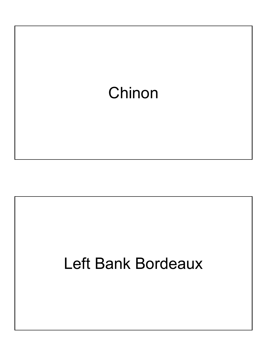

# Left Bank Bordeaux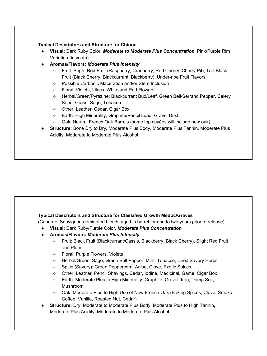# Typical Descriptors and Structure for Chinon

- Visual: Dark Ruby Color, Moderate to Moderate Plus Concentration, Pink/Purple Rim Variation (in youth)
- Aromas/Flavors: Moderate Plus Intensity
	- Fruit: Bright Red Fruit (Raspberry, Cranberry, Red Cherry, Cherry Pit), Tart Black Fruit (Black Cherry, Blackcurrant, Blackberry), Under-ripe Fruit Flavors
	- Possible Carbonic Maceration and/or Stem Inclusion
	- Floral: Violets, Lilacs, White and Red Flowers
	- Herbal/Green/Pyrazine: Blackcurrant Bud/Leaf, Green Bell/Serrano Pepper, Celery Seed, Grass, Sage, Tobacco
	- Other: Leather, Cedar, Cigar Box
	- Earth: High Minerality, Graphite/Pencil Lead, Gravel Dust
	- Oak: Neutral French Oak Barrels (some top cuvées will include new oak)
- Structure: Bone Dry to Dry, Moderate Plus Body, Moderate Plus Tannin, Moderate Plus Acidity, Moderate to Moderate Plus Alcohol

### Typical Descriptors and Structure for Classified Growth Médoc/Graves

(Cabernet Sauvignon-dominated blends aged in barrel for one to two years prior to release)

- Visual: Dark Ruby/Purple Color, Moderate Plus Concentration
- Aromas/Flavors: Moderate Plus Intensity
	- Fruit: Black Fruit (Blackcurrant/Cassis, Blackberry, Black Cherry), Slight Red Fruit and Plum
	- Floral: Purple Flowers, Violets
	- Herbal/Green: Sage, Green Bell Pepper, Mint, Tobacco, Dried Savory Herbs
	- Spice (Savory): Green Peppercorn, Anise, Clove, Exotic Spices
	- Other: Leather, Pencil Shavings, Cedar, Iodine, Medicinal, Game, Cigar Box
	- Earth: Moderate Plus to High Minerality, Graphite, Gravel, Iron, Damp Soil, Mushroom
	- Oak: Moderate Plus to High Use of New French Oak (Baking Spices, Clove, Smoke, Coffee, Vanilla, Roasted Nut, Cedar)
- Structure: Dry, Moderate to Moderate Plus Body, Moderate Plus to High Tannin, Moderate Plus Acidity, Moderate to Moderate Plus Alcohol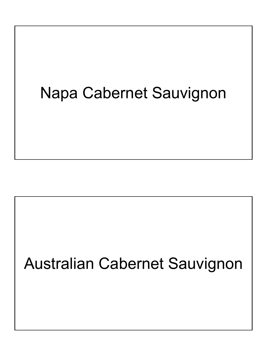# Napa Cabernet Sauvignon

# Australian Cabernet Sauvignon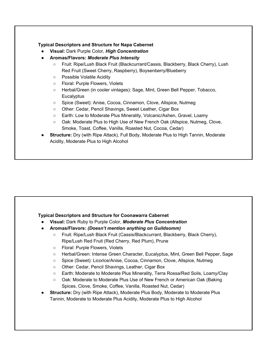### Typical Descriptors and Structure for Napa Cabernet

- Visual: Dark Purple Color, High Concentration
- Aromas/Flavors: Moderate Plus Intensity
	- Fruit: Ripe/Lush Black Fruit (Blackcurrant/Cassis, Blackberry, Black Cherry), Lush Red Fruit (Sweet Cherry, Raspberry), Boysenberry/Blueberry
	- Possible Volatile Acidity
	- Floral: Purple Flowers, Violets
	- Herbal/Green (in cooler vintages): Sage, Mint, Green Bell Pepper, Tobacco, **Eucalyptus**
	- Spice (Sweet): Anise, Cocoa, Cinnamon, Clove, Allspice, Nutmeg
	- Other: Cedar, Pencil Shavings, Sweet Leather, Cigar Box
	- Earth: Low to Moderate Plus Minerality, Volcanic/Ashen, Gravel, Loamy
	- Oak: Moderate Plus to High Use of New French Oak (Allspice, Nutmeg, Clove, Smoke, Toast, Coffee, Vanilla, Roasted Nut, Cocoa, Cedar)
- Structure: Dry (with Ripe Attack), Full Body, Moderate Plus to High Tannin, Moderate Acidity, Moderate Plus to High Alcohol

# Typical Descriptors and Structure for Coonawarra Cabernet

- Visual: Dark Ruby to Purple Color, Moderate Plus Concentration
- Aromas/Flavors: (Doesn't mention anything on Guildsomm)
	- Fruit: Ripe/Lush Black Fruit (Cassis/Blackcurrant, Blackberry, Black Cherry), Ripe/Lush Red Fruit (Red Cherry, Red Plum), Prune
	- Floral: Purple Flowers, Violets
	- Herbal/Green: Intense Green Character, Eucalyptus, Mint, Green Bell Pepper, Sage
	- Spice (Sweet): Licorice/Anise, Cocoa, Cinnamon, Clove, Allspice, Nutmeg
	- Other: Cedar, Pencil Shavings, Leather, Cigar Box
	- Earth: Moderate to Moderate Plus Minerality, Terra Rossa/Red Soils, Loamy/Clay
	- Oak: Moderate to Moderate Plus Use of New French or American Oak (Baking Spices, Clove, Smoke, Coffee, Vanilla, Roasted Nut, Cedar)
- Structure: Dry (with Ripe Attack), Moderate Plus Body, Moderate to Moderate Plus Tannin, Moderate to Moderate Plus Acidity, Moderate Plus to High Alcohol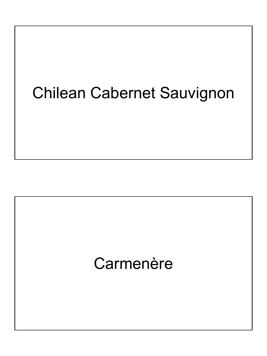# Chilean Cabernet Sauvignon

# Carmenère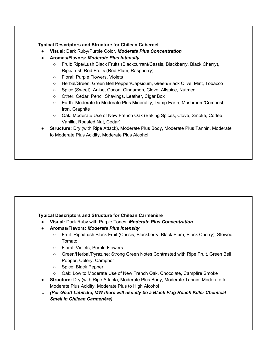# Typical Descriptors and Structure for Chilean Cabernet

- Visual: Dark Ruby/Purple Color, Moderate Plus Concentration
- Aromas/Flavors: Moderate Plus Intensity
	- Fruit: Ripe/Lush Black Fruits (Blackcurrant/Cassis, Blackberry, Black Cherry), Ripe/Lush Red Fruits (Red Plum, Raspberry)
	- Floral: Purple Flowers, Violets
	- Herbal/Green: Green Bell Pepper/Capsicum, Green/Black Olive, Mint, Tobacco
	- Spice (Sweet): Anise, Cocoa, Cinnamon, Clove, Allspice, Nutmeg
	- Other: Cedar, Pencil Shavings, Leather, Cigar Box
	- Earth: Moderate to Moderate Plus Minerality, Damp Earth, Mushroom/Compost, Iron, Graphite
	- Oak: Moderate Use of New French Oak (Baking Spices, Clove, Smoke, Coffee, Vanilla, Roasted Nut, Cedar)
- Structure: Dry (with Ripe Attack), Moderate Plus Body, Moderate Plus Tannin, Moderate to Moderate Plus Acidity, Moderate Plus Alcohol

# Typical Descriptors and Structure for Chilean Carmenère

- Visual: Dark Ruby with Purple Tones, Moderate Plus Concentration
- Aromas/Flavors: Moderate Plus Intensity
	- Fruit: Ripe/Lush Black Fruit (Cassis, Blackberry, Black Plum, Black Cherry), Stewed Tomato
	- Floral: Violets, Purple Flowers
	- Green/Herbal/Pyrazine: Strong Green Notes Contrasted with Ripe Fruit, Green Bell Pepper, Celery, Camphor
	- Spice: Black Pepper
	- Oak: Low to Moderate Use of New French Oak, Chocolate, Campfire Smoke
- **Structure:** Dry (with Ripe Attack), Moderate Plus Body, Moderate Tannin, Moderate to Moderate Plus Acidity, Moderate Plus to High Alcohol
- (Per Geoff Labitzke, MW there will usually be a Black Flag Roach Killer Chemical Smell in Chilean Carmenère)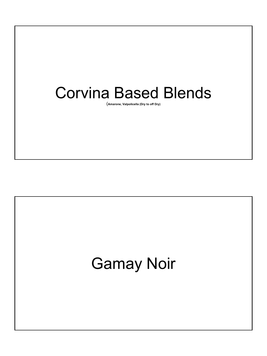# Corvina Based Blends

(Amarone, Valpolicella (Dry to off Dry)

# Gamay Noir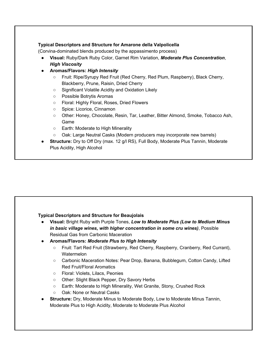# Typical Descriptors and Structure for Amarone della Valpolicella

(Corvina-dominated blends produced by the appassimento process)

- Visual: Ruby/Dark Ruby Color, Garnet Rim Variation, Moderate Plus Concentration, High Viscosity
- Aromas/Flavors: High Intensity
	- Fruit: Ripe/Syrupy Red Fruit (Red Cherry, Red Plum, Raspberry), Black Cherry, Blackberry, Prune, Raisin, Dried Cherry
	- Significant Volatile Acidity and Oxidation Likely
	- Possible Botrytis Aromas
	- Floral: Highly Floral, Roses, Dried Flowers
	- Spice: Licorice, Cinnamon
	- Other: Honey, Chocolate, Resin, Tar, Leather, Bitter Almond, Smoke, Tobacco Ash, Game
	- Earth: Moderate to High Minerality
	- Oak: Large Neutral Casks (Modern producers may incorporate new barrels)
- Structure: Dry to Off Dry (max. 12 g/l RS), Full Body, Moderate Plus Tannin, Moderate Plus Acidity, High Alcohol

# Typical Descriptors and Structure for Beaujolais

- Visual: Bright Ruby with Purple Tones, Low to Moderate Plus (Low to Medium Minus in basic village wines, with higher concentration in some cru wines), Possible Residual Gas from Carbonic Maceration
- Aromas/Flavors: Moderate Plus to High Intensity
	- Fruit: Tart Red Fruit (Strawberry, Red Cherry, Raspberry, Cranberry, Red Currant), **Watermelon**
	- Carbonic Maceration Notes: Pear Drop, Banana, Bubblegum, Cotton Candy, Lifted Red Fruit/Floral Aromatics
	- Floral: Violets, Lilacs, Peonies
	- Other: Slight Black Pepper, Dry Savory Herbs
	- Earth: Moderate to High Minerality, Wet Granite, Stony, Crushed Rock
	- Oak: None or Neutral Casks
- **Structure:** Dry, Moderate Minus to Moderate Body, Low to Moderate Minus Tannin, Moderate Plus to High Acidity, Moderate to Moderate Plus Alcohol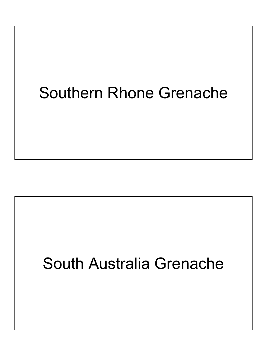# Southern Rhone Grenache

# South Australia Grenache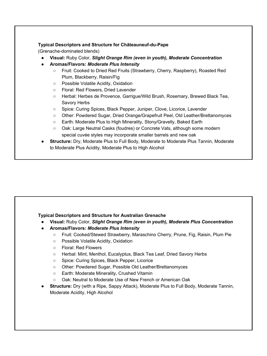# Typical Descriptors and Structure for Châteauneuf-du-Pape

(Grenache-dominated blends)

- Visual: Ruby Color, Slight Orange Rim (even in youth), Moderate Concentration
- Aromas/Flavors: Moderate Plus Intensity
	- Fruit: Cooked to Dried Red Fruits (Strawberry, Cherry, Raspberry), Roasted Red Plum, Blackberry, Raisin/Fig
	- Possible Volatile Acidity, Oxidation
	- Floral: Red Flowers, Dried Lavender
	- Herbal: Herbes de Provence, Garrigue/Wild Brush, Rosemary, Brewed Black Tea, Savory Herbs
	- Spice: Curing Spices, Black Pepper, Juniper, Clove, Licorice, Lavender
	- Other: Powdered Sugar, Dried Orange/Grapefruit Peel, Old Leather/Brettanomyces
	- Earth: Moderate Plus to High Minerality, Stony/Gravelly, Baked Earth
	- Oak: Large Neutral Casks (foudres) or Concrete Vats, although some modern special cuvée styles may incorporate smaller barrels and new oak
- **Structure:** Dry, Moderate Plus to Full Body, Moderate to Moderate Plus Tannin, Moderate to Moderate Plus Acidity, Moderate Plus to High Alcohol

# Typical Descriptors and Structure for Australian Grenache

- Visual: Ruby Color, Slight Orange Rim (even in youth), Moderate Plus Concentration
	- Aromas/Flavors: Moderate Plus Intensity
		- Fruit: Cooked/Stewed Strawberry, Maraschino Cherry, Prune, Fig, Raisin, Plum Pie
		- Possible Volatile Acidity, Oxidation
		- Floral: Red Flowers
		- Herbal: Mint, Menthol, Eucalyptus, Black Tea Leaf, Dried Savory Herbs
		- Spice: Curing Spices, Black Pepper, Licorice
		- Other: Powdered Sugar, Possible Old Leather/Brettanomyces
		- Earth: Moderate Minerality, Crushed Vitamin
		- Oak: Neutral to Moderate Use of New French or American Oak
- Structure: Dry (with a Ripe, Sappy Attack), Moderate Plus to Full Body, Moderate Tannin, Moderate Acidity, High Alcohol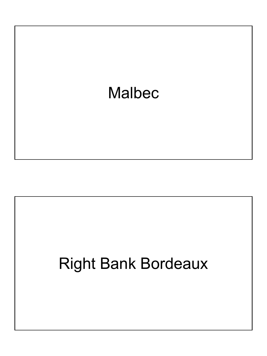

# Right Bank Bordeaux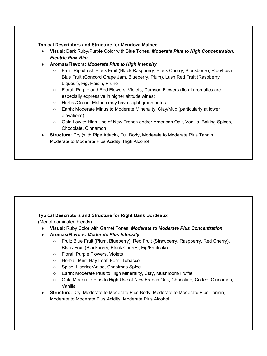### Typical Descriptors and Structure for Mendoza Malbec

- Visual: Dark Ruby/Purple Color with Blue Tones, Moderate Plus to High Concentration, Electric Pink Rim
- Aromas/Flavors: Moderate Plus to High Intensity
	- Fruit: Ripe/Lush Black Fruit (Black Raspberry, Black Cherry, Blackberry), Ripe/Lush Blue Fruit (Concord Grape Jam, Blueberry, Plum), Lush Red Fruit (Raspberry Liqueur), Fig, Raisin, Prune
	- Floral: Purple and Red Flowers, Violets, Damson Flowers (floral aromatics are especially expressive in higher altitude wines)
	- Herbal/Green: Malbec may have slight green notes
	- Earth: Moderate Minus to Moderate Minerality, Clay/Mud (particularly at lower elevations)
	- Oak: Low to High Use of New French and/or American Oak, Vanilla, Baking Spices, Chocolate, Cinnamon
- Structure: Dry (with Ripe Attack), Full Body, Moderate to Moderate Plus Tannin, Moderate to Moderate Plus Acidity, High Alcohol

# Typical Descriptors and Structure for Right Bank Bordeaux

(Merlot-dominated blends)

- Visual: Ruby Color with Garnet Tones, Moderate to Moderate Plus Concentration
- Aromas/Flavors: Moderate Plus Intensity
	- Fruit: Blue Fruit (Plum, Blueberry), Red Fruit (Strawberry, Raspberry, Red Cherry), Black Fruit (Blackberry, Black Cherry), Fig/Fruitcake
	- Floral: Purple Flowers, Violets
	- Herbal: Mint, Bay Leaf, Fern, Tobacco
	- Spice: Licorice/Anise, Christmas Spice
	- Earth: Moderate Plus to High Minerality, Clay, Mushroom/Truffle
	- Oak: Moderate Plus to High Use of New French Oak, Chocolate, Coffee, Cinnamon, Vanilla
- Structure: Dry, Moderate to Moderate Plus Body, Moderate to Moderate Plus Tannin, Moderate to Moderate Plus Acidity, Moderate Plus Alcohol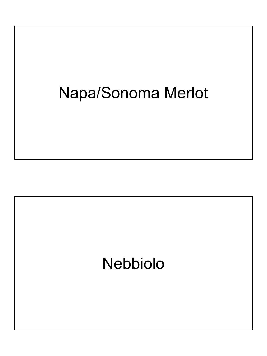# Napa/Sonoma Merlot

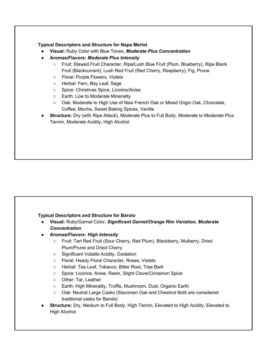# Typical Descriptors and Structure for Napa Merlot

- **Visual: Ruby Color with Blue Tones, Moderate Plus Concentration**
- Aromas/Flavors: Moderate Plus Intensity
	- Fruit: Stewed Fruit Character, Ripe/Lush Blue Fruit (Plum, Blueberry), Ripe Black Fruit (Blackcurrant), Lush Red Fruit (Red Cherry, Raspberry), Fig, Prune
	- Floral: Purple Flowers, Violets
	- Herbal: Fern, Bay Leaf, Sage
	- Spice: Christmas Spice, Licorice/Anise
	- Earth: Low to Moderate Minerality
	- Oak: Moderate to High Use of New French Oak or Mixed Origin Oak, Chocolate, Coffee, Mocha, Sweet Baking Spices, Vanilla
- Structure: Dry (with Ripe Attack), Moderate Plus to Full Body, Moderate to Moderate Plus Tannin, Moderate Acidity, High Alcohol

# Typical Descriptors and Structure for Barolo

- Visual: Ruby/Garnet Color, Significant Garnet/Orange Rim Variation, Moderate **Concentration**
- Aromas/Flavors: High Intensity
	- Fruit: Tart Red Fruit (Sour Cherry, Red Plum), Blackberry, Mulberry, Dried Plum/Prune and Dried Cherry
	- Significant Volatile Acidity, Oxidation
	- Floral: Heady Floral Character, Roses, Violets
	- Herbal: Tea Leaf, Tobacco, Bitter Root, Tree Bark
	- Spice: Licorice, Anise, Resin, Slight Clove/Cinnamon Spice
	- Other: Tar, Leather
	- Earth: High Minerality, Truffle, Mushroom, Dust, Organic Earth
	- Oak: Neutral Large Casks (Slavonian Oak and Chestnut Botti are considered traditional casks for Barolo)
- Structure: Dry, Medium to Full Body, High Tannin, Elevated to High Acidity, Elevated to High Alcohol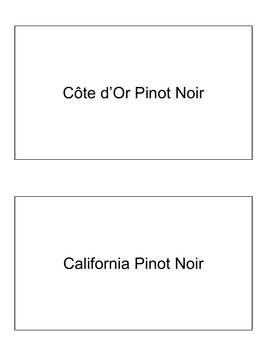# Côte d'Or Pinot Noir

# California Pinot Noir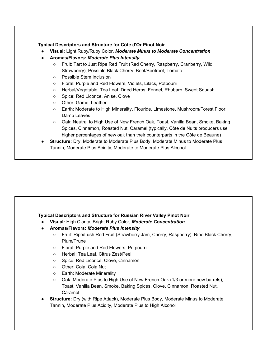# Typical Descriptors and Structure for Côte d'Or Pinot Noir

- Visual: Light Ruby/Ruby Color, Moderate Minus to Moderate Concentration
- Aromas/Flavors: Moderate Plus Intensity
	- Fruit: Tart to Just Ripe Red Fruit (Red Cherry, Raspberry, Cranberry, Wild Strawberry), Possible Black Cherry, Beet/Beetroot, Tomato
	- Possible Stem Inclusion
	- Floral: Purple and Red Flowers, Violets, Lilacs, Potpourri
	- Herbal/Vegetable: Tea Leaf, Dried Herbs, Fennel, Rhubarb, Sweet Squash
	- Spice: Red Licorice, Anise, Clove
	- Other: Game, Leather
	- Earth: Moderate to High Minerality, Flouride, Limestone, Mushroom/Forest Floor, Damp Leaves
	- Oak: Neutral to High Use of New French Oak, Toast, Vanilla Bean, Smoke, Baking Spices, Cinnamon, Roasted Nut, Caramel (typically, Côte de Nuits producers use higher percentages of new oak than their counterparts in the Côte de Beaune)
- **Structure:** Dry, Moderate to Moderate Plus Body, Moderate Minus to Moderate Plus Tannin, Moderate Plus Acidity, Moderate to Moderate Plus Alcohol

# Typical Descriptors and Structure for Russian River Valley Pinot Noir

- Visual: High Clarity, Bright Ruby Color, Moderate Concentration
- Aromas/Flavors: Moderate Plus Intensity
	- Fruit: Ripe/Lush Red Fruit (Strawberry Jam, Cherry, Raspberry), Ripe Black Cherry, Plum/Prune
	- Floral: Purple and Red Flowers, Potpourri
	- Herbal: Tea Leaf, Citrus Zest/Peel
	- Spice: Red Licorice, Clove, Cinnamon
	- Other: Cola, Cola Nut
	- Earth: Moderate Minerality
	- Oak: Moderate Plus to High Use of New French Oak (1/3 or more new barrels), Toast, Vanilla Bean, Smoke, Baking Spices, Clove, Cinnamon, Roasted Nut, Caramel
- **Structure:** Dry (with Ripe Attack), Moderate Plus Body, Moderate Minus to Moderate Tannin, Moderate Plus Acidity, Moderate Plus to High Alcohol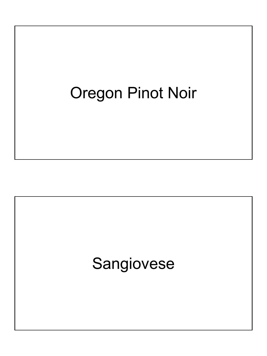# Oregon Pinot Noir

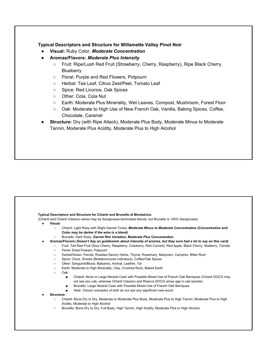### Typical Descriptors and Structure for Willamette Valley Pinot Noir

- Visual: Ruby Color, Moderate Concentration
- Aromas/Flavors: Moderate Plus Intensity
	- Fruit: Ripe/Lush Red Fruit (Strawberry, Cherry, Raspberry), Ripe Black Cherry, **Blueberry**
	- Floral: Purple and Red Flowers, Potpourri
	- Herbal: Tea Leaf, Citrus Zest/Peel, Tomato Leaf
	- Spice: Red Licorice, Oak Spices
	- Other: Cola, Cola Nut
	- Earth: Moderate Plus Minerality, Wet Leaves, Compost, Mushroom, Forest Floor
	- Oak: Moderate to High Use of New French Oak, Vanilla, Baking Spices, Coffee, Chocolate, Caramel
- **Structure:** Dry (with Ripe Attack), Moderate Plus Body, Moderate Minus to Moderate Tannin, Moderate Plus Acidity, Moderate Plus to High Alcohol

### Typical Descriptors and Structure for Chianti and Brunello di Montalcino

(Chianti and Chianti Classico wines may be Sangiovese-dominated blends, but Brunello is 100% Sangiovese)

- Visual:
	- o Chianti: Light Ruby with Slight Garnet Tones, Moderate Minus to Moderate Concentration (Concentration and Color may be darker if the wine is a blend)
	- o Brunello: Dark Ruby, Garnet Rim Variation, Moderate Plus Concentration
	- Aromas/Flavors:(Doesn't Say on guildsomm about intensity of aromas, but they sure had a lot to say on this card)
	- Fruit: Tart Red Fruit (Sour Cherry, Raspberry, Cranberry, Red Currant), Red Apple, Black Cherry, Mulberry, Tomato
		- Floral: Dried Flowers, Potpourri
		- Herbal/Green: Fennel, Roasted Savory Herbs, Thyme, Rosemary, Marjoram, Camphor, Bitter Root
	- Spice: Clove, Smoke (Brettanomyces indicators), Coffee/Oak Spices
	- Other: Sanguine/Blood, Balsamic, Animal, Leather, Tar
	- Earth: Moderate to High Minerality, Clay, Crushed Rock, Baked Earth
	- Oak:
		- Chianti: None or Large Neutral Cask with Possible Mixed Use of French Oak Barriques (Chianti DOCG may not see any oak, whereas Chianti Classico and Riserva DOCG wines age in oak barrels)
		- Brunello: Large Neutral Cask with Possible Mixed Use of French Oak Barriques
		- Note: Classic examples of both do not see any significant new wood.
- Structure:
	- Chianti: Bone Dry to Dry, Moderate to Moderate Plus Body, Moderate Plus to High Tannin, Moderate Plus to High Acidity, Moderate to High Alcohol
	- Brunello: Bone Dry to Dry, Full Body, High Tannin, High Acidity, Moderate Plus to High Alcohol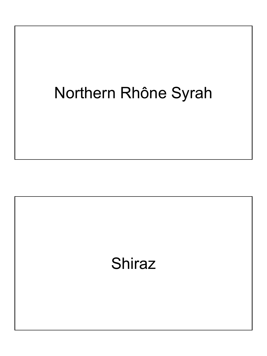# Northern Rhône Syrah

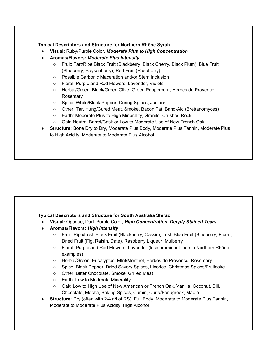# Typical Descriptors and Structure for Northern Rhône Syrah

- Visual: Ruby/Purple Color, Moderate Plus to High Concentration
- Aromas/Flavors: Moderate Plus Intensity
	- Fruit: Tart/Ripe Black Fruit (Blackberry, Black Cherry, Black Plum), Blue Fruit (Blueberry, Boysenberry), Red Fruit (Raspberry)
	- Possible Carbonic Maceration and/or Stem Inclusion
	- Floral: Purple and Red Flowers, Lavender, Violets
	- Herbal/Green: Black/Green Olive, Green Peppercorn, Herbes de Provence, Rosemary
	- Spice: White/Black Pepper, Curing Spices, Juniper
	- Other: Tar, Hung/Cured Meat, Smoke, Bacon Fat, Band-Aid (Brettanomyces)
	- Earth: Moderate Plus to High Minerality, Granite, Crushed Rock
	- Oak: Neutral Barrel/Cask or Low to Moderate Use of New French Oak
- Structure: Bone Dry to Dry, Moderate Plus Body, Moderate Plus Tannin, Moderate Plus to High Acidity, Moderate to Moderate Plus Alcohol

### Typical Descriptors and Structure for South Australia Shiraz

- Visual: Opaque, Dark Purple Color, High Concentration, Deeply Stained Tears
- Aromas/Flavors: High Intensity
	- Fruit: Ripe/Lush Black Fruit (Blackberry, Cassis), Lush Blue Fruit (Blueberry, Plum), Dried Fruit (Fig, Raisin, Date), Raspberry Liqueur, Mulberry
	- Floral: Purple and Red Flowers, Lavender (less prominent than in Northern Rhône examples)
	- Herbal/Green: Eucalyptus, MInt/Menthol, Herbes de Provence, Rosemary
	- Spice: Black Pepper, Dried Savory Spices, Licorice, Christmas Spices/Fruitcake
	- Other: Bitter Chocolate, Smoke, Grilled Meat
	- Earth: Low to Moderate Minerality
	- Oak: Low to High Use of New American or French Oak, Vanilla, Coconut, Dill, Chocolate, Mocha, Baking Spices, Cumin, Curry/Fenugreek, Maple
- Structure: Dry (often with 2-4 g/l of RS), Full Body, Moderate to Moderate Plus Tannin, Moderate to Moderate Plus Acidity, High Alcohol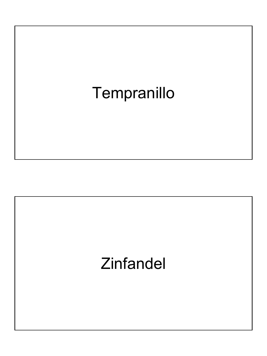